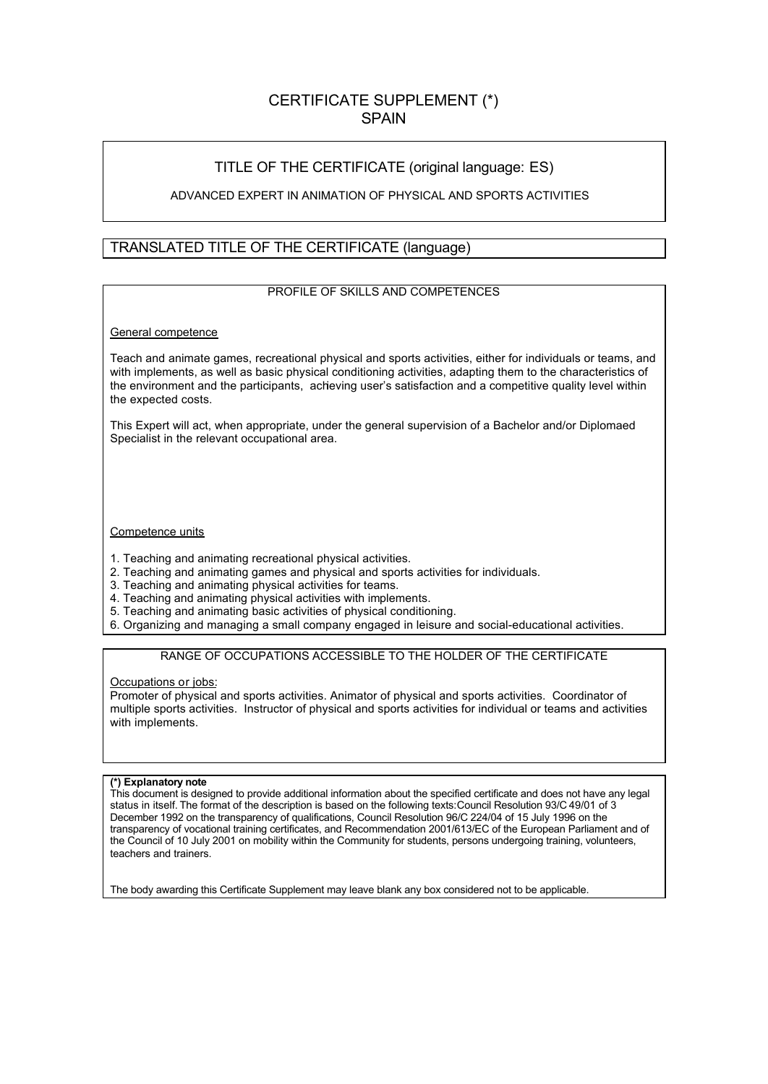# CERTIFICATE SUPPLEMENT (\*) **SPAIN**

# TITLE OF THE CERTIFICATE (original language: ES)

## ADVANCED EXPERT IN ANIMATION OF PHYSICAL AND SPORTS ACTIVITIES

# TRANSLATED TITLE OF THE CERTIFICATE (language)

### PROFILE OF SKILLS AND COMPETENCES

### General competence

Teach and animate games, recreational physical and sports activities, either for individuals or teams, and with implements, as well as basic physical conditioning activities, adapting them to the characteristics of the environment and the participants, achieving user's satisfaction and a competitive quality level within the expected costs.

This Expert will act, when appropriate, under the general supervision of a Bachelor and/or Diplomaed Specialist in the relevant occupational area.

#### Competence units

- 1. Teaching and animating recreational physical activities.
- 2. Teaching and animating games and physical and sports activities for individuals.
- 3. Teaching and animating physical activities for teams.
- 4. Teaching and animating physical activities with implements.
- 5. Teaching and animating basic activities of physical conditioning.
- 6. Organizing and managing a small company engaged in leisure and social-educational activities.

## RANGE OF OCCUPATIONS ACCESSIBLE TO THE HOLDER OF THE CERTIFICATE

#### Occupations or jobs:

Promoter of physical and sports activities. Animator of physical and sports activities. Coordinator of multiple sports activities. Instructor of physical and sports activities for individual or teams and activities with implements.

#### **(\*) Explanatory note**

This document is designed to provide additional information about the specified certificate and does not have any legal status in itself. The format of the description is based on the following texts:Council Resolution 93/C 49/01 of 3 December 1992 on the transparency of qualifications, Council Resolution 96/C 224/04 of 15 July 1996 on the transparency of vocational training certificates, and Recommendation 2001/613/EC of the European Parliament and of the Council of 10 July 2001 on mobility within the Community for students, persons undergoing training, volunteers, teachers and trainers.

The body awarding this Certificate Supplement may leave blank any box considered not to be applicable.